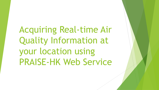Acquiring Real-time Air Quality Information at your location using PRAISE-HK Web Service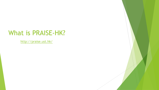### What is PRAISE-HK?

<http://praise.ust.hk/>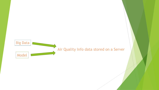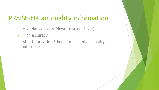## PRAISE-HK air quality information

- High data-density (down to street level)
- High accuracy
- Able to provide 48-hour forecasted air quality information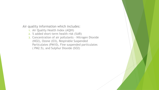Air quality information which includes:

- 1. Air Quality Health Index (AQHI)
- 2. % added short-term health risk (%AR)
- 3. Concentration of air pollutants Nitrogen Dioxide (NO2), Ozone (O3), Respirable Suspended Particulates (PM10), Fine suspended particulates ( PM2.5), and Sulphur Dioxide (SO2)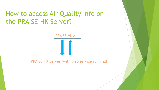### How to access Air Quality Info on the PRAISE-HK Server?



PRAISE-HK Server (with web service running)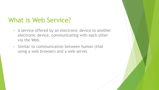### What is Web Service?

- A service offered by an electronic device to another electronic device, communicating with each other via the Web.
- Similar to communication between human (that using a web browser) and a web server.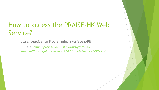# How to access the PRAISE-HK Web Service?

Use an Application Programming Interface (API)

e.g. *https://praise-web.ust.hk/uwsgi/praiseservice/?todo=get\_data&lng=114.155780&lat=22.338711&...*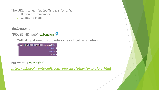The URL is long….(*actually very long!!*):

- 1. Difficult to remember
- 2. Clumsy to input

#### Solution…

#### "PRAISE\_HK\_web" extension

With it, just need to provide some critical parameters:



But what is *extension*?

*<http://ai2.appinventor.mit.edu/reference/other/extensions.html>*